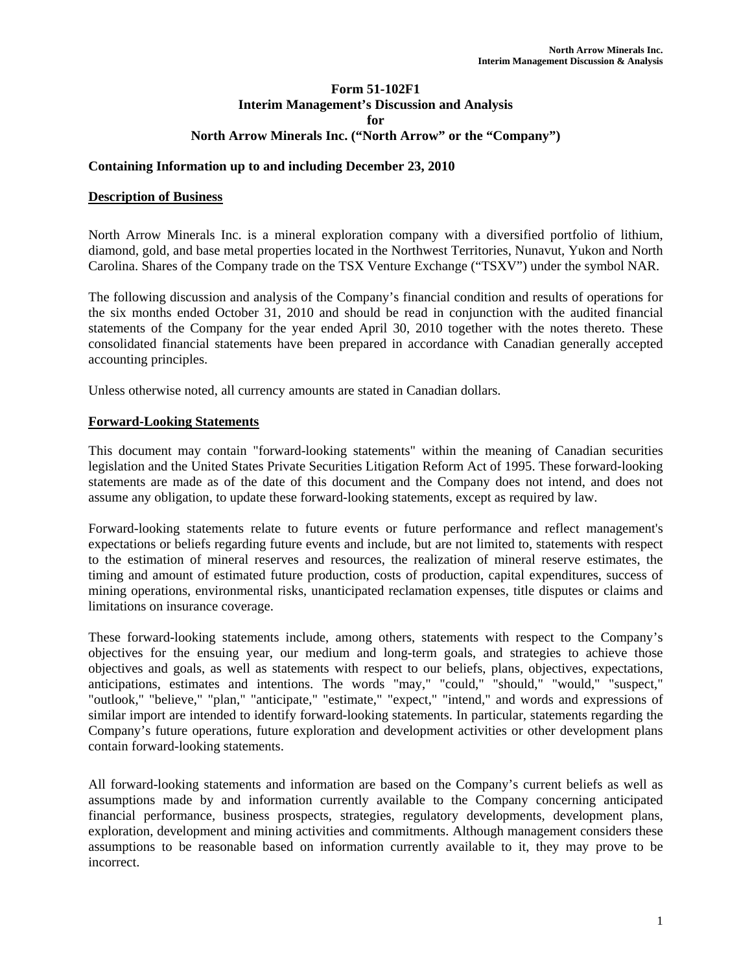### **Form 51-102F1 Interim Management's Discussion and Analysis for North Arrow Minerals Inc. ("North Arrow" or the "Company")**

### **Containing Information up to and including December 23, 2010**

#### **Description of Business**

North Arrow Minerals Inc. is a mineral exploration company with a diversified portfolio of lithium, diamond, gold, and base metal properties located in the Northwest Territories, Nunavut, Yukon and North Carolina. Shares of the Company trade on the TSX Venture Exchange ("TSXV") under the symbol NAR.

The following discussion and analysis of the Company's financial condition and results of operations for the six months ended October 31, 2010 and should be read in conjunction with the audited financial statements of the Company for the year ended April 30, 2010 together with the notes thereto. These consolidated financial statements have been prepared in accordance with Canadian generally accepted accounting principles.

Unless otherwise noted, all currency amounts are stated in Canadian dollars.

#### **Forward-Looking Statements**

This document may contain "forward-looking statements" within the meaning of Canadian securities legislation and the United States Private Securities Litigation Reform Act of 1995. These forward-looking statements are made as of the date of this document and the Company does not intend, and does not assume any obligation, to update these forward-looking statements, except as required by law.

Forward-looking statements relate to future events or future performance and reflect management's expectations or beliefs regarding future events and include, but are not limited to, statements with respect to the estimation of mineral reserves and resources, the realization of mineral reserve estimates, the timing and amount of estimated future production, costs of production, capital expenditures, success of mining operations, environmental risks, unanticipated reclamation expenses, title disputes or claims and limitations on insurance coverage.

These forward-looking statements include, among others, statements with respect to the Company's objectives for the ensuing year, our medium and long-term goals, and strategies to achieve those objectives and goals, as well as statements with respect to our beliefs, plans, objectives, expectations, anticipations, estimates and intentions. The words "may," "could," "should," "would," "suspect," "outlook," "believe," "plan," "anticipate," "estimate," "expect," "intend," and words and expressions of similar import are intended to identify forward-looking statements. In particular, statements regarding the Company's future operations, future exploration and development activities or other development plans contain forward-looking statements.

All forward-looking statements and information are based on the Company's current beliefs as well as assumptions made by and information currently available to the Company concerning anticipated financial performance, business prospects, strategies, regulatory developments, development plans, exploration, development and mining activities and commitments. Although management considers these assumptions to be reasonable based on information currently available to it, they may prove to be incorrect.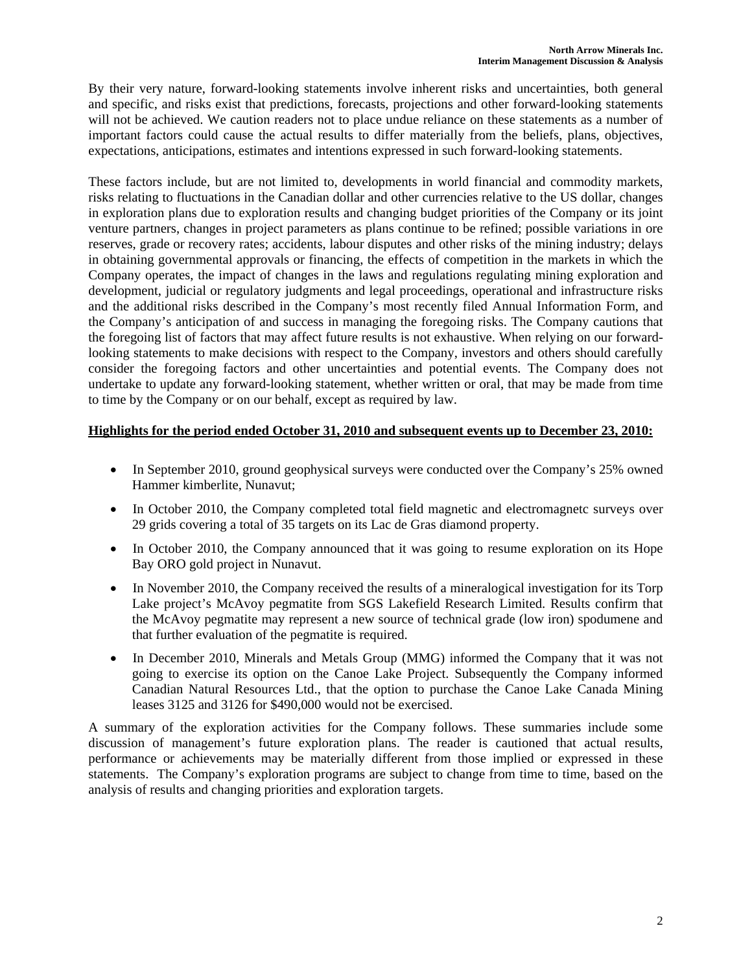By their very nature, forward-looking statements involve inherent risks and uncertainties, both general and specific, and risks exist that predictions, forecasts, projections and other forward-looking statements will not be achieved. We caution readers not to place undue reliance on these statements as a number of important factors could cause the actual results to differ materially from the beliefs, plans, objectives, expectations, anticipations, estimates and intentions expressed in such forward-looking statements.

These factors include, but are not limited to, developments in world financial and commodity markets, risks relating to fluctuations in the Canadian dollar and other currencies relative to the US dollar, changes in exploration plans due to exploration results and changing budget priorities of the Company or its joint venture partners, changes in project parameters as plans continue to be refined; possible variations in ore reserves, grade or recovery rates; accidents, labour disputes and other risks of the mining industry; delays in obtaining governmental approvals or financing, the effects of competition in the markets in which the Company operates, the impact of changes in the laws and regulations regulating mining exploration and development, judicial or regulatory judgments and legal proceedings, operational and infrastructure risks and the additional risks described in the Company's most recently filed Annual Information Form, and the Company's anticipation of and success in managing the foregoing risks. The Company cautions that the foregoing list of factors that may affect future results is not exhaustive. When relying on our forwardlooking statements to make decisions with respect to the Company, investors and others should carefully consider the foregoing factors and other uncertainties and potential events. The Company does not undertake to update any forward-looking statement, whether written or oral, that may be made from time to time by the Company or on our behalf, except as required by law.

# **Highlights for the period ended October 31, 2010 and subsequent events up to December 23, 2010:**

- In September 2010, ground geophysical surveys were conducted over the Company's 25% owned Hammer kimberlite, Nunavut;
- In October 2010, the Company completed total field magnetic and electromagnetc surveys over 29 grids covering a total of 35 targets on its Lac de Gras diamond property.
- In October 2010, the Company announced that it was going to resume exploration on its Hope Bay ORO gold project in Nunavut.
- In November 2010, the Company received the results of a mineralogical investigation for its Torp Lake project's McAvoy pegmatite from SGS Lakefield Research Limited. Results confirm that the McAvoy pegmatite may represent a new source of technical grade (low iron) spodumene and that further evaluation of the pegmatite is required.
- In December 2010, Minerals and Metals Group (MMG) informed the Company that it was not going to exercise its option on the Canoe Lake Project. Subsequently the Company informed Canadian Natural Resources Ltd., that the option to purchase the Canoe Lake Canada Mining leases 3125 and 3126 for \$490,000 would not be exercised.

A summary of the exploration activities for the Company follows. These summaries include some discussion of management's future exploration plans. The reader is cautioned that actual results, performance or achievements may be materially different from those implied or expressed in these statements. The Company's exploration programs are subject to change from time to time, based on the analysis of results and changing priorities and exploration targets.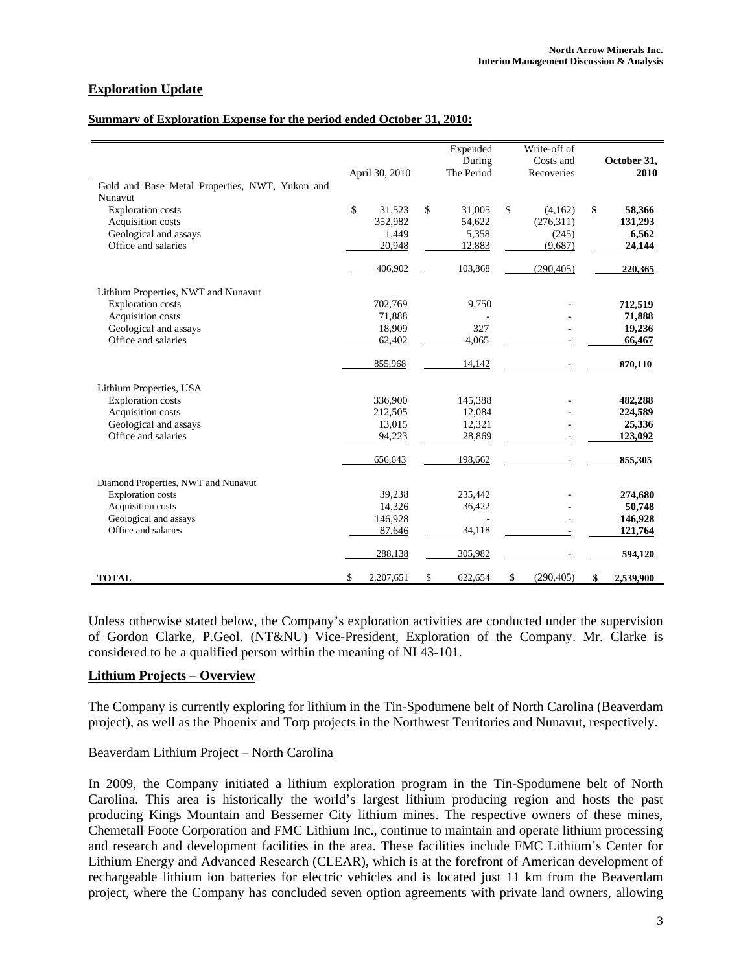# **Exploration Update**

#### **Summary of Exploration Expense for the period ended October 31, 2010:**

|                                                |                 | Expended      | Write-off of     |                 |
|------------------------------------------------|-----------------|---------------|------------------|-----------------|
|                                                |                 | During        | Costs and        | October 31,     |
|                                                | April 30, 2010  | The Period    | Recoveries       | 2010            |
| Gold and Base Metal Properties, NWT, Yukon and |                 |               |                  |                 |
| Nunavut                                        |                 |               |                  |                 |
| <b>Exploration</b> costs                       | \$<br>31,523    | \$<br>31,005  | \$<br>(4,162)    | \$<br>58,366    |
| Acquisition costs                              | 352,982         | 54,622        | (276,311)        | 131,293         |
| Geological and assays                          | 1,449           | 5,358         | (245)            | 6,562           |
| Office and salaries                            | 20,948          | 12,883        | (9,687)          | 24,144          |
|                                                | 406,902         | 103,868       | (290, 405)       | 220,365         |
| Lithium Properties, NWT and Nunavut            |                 |               |                  |                 |
| <b>Exploration costs</b>                       | 702,769         | 9,750         |                  | 712,519         |
| Acquisition costs                              | 71,888          |               |                  | 71,888          |
| Geological and assays                          | 18,909          | 327           |                  | 19,236          |
| Office and salaries                            | 62,402          | 4,065         |                  | 66,467          |
|                                                | 855,968         | 14,142        |                  | 870,110         |
| Lithium Properties, USA                        |                 |               |                  |                 |
| <b>Exploration costs</b>                       | 336,900         | 145,388       |                  | 482,288         |
| Acquisition costs                              | 212,505         | 12,084        |                  | 224,589         |
| Geological and assays                          | 13,015          | 12,321        |                  | 25,336          |
| Office and salaries                            | 94.223          | 28,869        |                  | 123,092         |
|                                                | 656,643         | 198,662       |                  | 855,305         |
| Diamond Properties, NWT and Nunavut            |                 |               |                  |                 |
| <b>Exploration</b> costs                       | 39,238          | 235,442       |                  | 274,680         |
| Acquisition costs                              | 14,326          | 36,422        |                  | 50,748          |
| Geological and assays                          | 146,928         |               |                  | 146,928         |
| Office and salaries                            | 87,646          | 34,118        |                  | 121,764         |
|                                                | 288,138         | 305,982       |                  | 594,120         |
| <b>TOTAL</b>                                   | \$<br>2,207,651 | \$<br>622,654 | \$<br>(290, 405) | \$<br>2,539,900 |

Unless otherwise stated below, the Company's exploration activities are conducted under the supervision of Gordon Clarke, P.Geol. (NT&NU) Vice-President, Exploration of the Company. Mr. Clarke is considered to be a qualified person within the meaning of NI 43-101.

#### **Lithium Projects – Overview**

The Company is currently exploring for lithium in the Tin-Spodumene belt of North Carolina (Beaverdam project), as well as the Phoenix and Torp projects in the Northwest Territories and Nunavut, respectively.

#### Beaverdam Lithium Project – North Carolina

In 2009, the Company initiated a lithium exploration program in the Tin-Spodumene belt of North Carolina. This area is historically the world's largest lithium producing region and hosts the past producing Kings Mountain and Bessemer City lithium mines. The respective owners of these mines, Chemetall Foote Corporation and FMC Lithium Inc., continue to maintain and operate lithium processing and research and development facilities in the area. These facilities include FMC Lithium's Center for Lithium Energy and Advanced Research (CLEAR), which is at the forefront of American development of rechargeable lithium ion batteries for electric vehicles and is located just 11 km from the Beaverdam project, where the Company has concluded seven option agreements with private land owners, allowing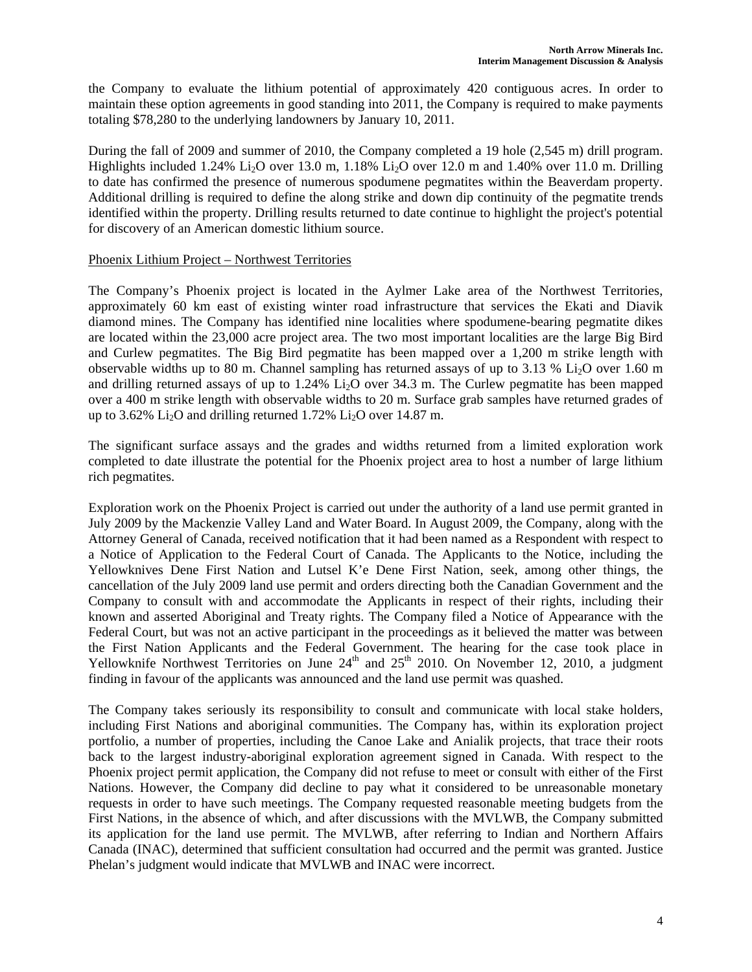the Company to evaluate the lithium potential of approximately 420 contiguous acres. In order to maintain these option agreements in good standing into 2011, the Company is required to make payments totaling \$78,280 to the underlying landowners by January 10, 2011.

During the fall of 2009 and summer of 2010, the Company completed a 19 hole (2,545 m) drill program. Highlights included 1.24% Li<sub>2</sub>O over 13.0 m, 1.18% Li<sub>2</sub>O over 12.0 m and 1.40% over 11.0 m. Drilling to date has confirmed the presence of numerous spodumene pegmatites within the Beaverdam property. Additional drilling is required to define the along strike and down dip continuity of the pegmatite trends identified within the property. Drilling results returned to date continue to highlight the project's potential for discovery of an American domestic lithium source.

### Phoenix Lithium Project – Northwest Territories

The Company's Phoenix project is located in the Aylmer Lake area of the Northwest Territories, approximately 60 km east of existing winter road infrastructure that services the Ekati and Diavik diamond mines. The Company has identified nine localities where spodumene-bearing pegmatite dikes are located within the 23,000 acre project area. The two most important localities are the large Big Bird and Curlew pegmatites. The Big Bird pegmatite has been mapped over a 1,200 m strike length with observable widths up to 80 m. Channel sampling has returned assays of up to 3.13 %  $Li<sub>2</sub>O$  over 1.60 m and drilling returned assays of up to  $1.24\%$  Li<sub>2</sub>O over 34.3 m. The Curlew pegmatite has been mapped over a 400 m strike length with observable widths to 20 m. Surface grab samples have returned grades of up to 3.62% Li<sub>2</sub>O and drilling returned 1.72% Li<sub>2</sub>O over 14.87 m.

The significant surface assays and the grades and widths returned from a limited exploration work completed to date illustrate the potential for the Phoenix project area to host a number of large lithium rich pegmatites.

Exploration work on the Phoenix Project is carried out under the authority of a land use permit granted in July 2009 by the Mackenzie Valley Land and Water Board. In August 2009, the Company, along with the Attorney General of Canada, received notification that it had been named as a Respondent with respect to a Notice of Application to the Federal Court of Canada. The Applicants to the Notice, including the Yellowknives Dene First Nation and Lutsel K'e Dene First Nation, seek, among other things, the cancellation of the July 2009 land use permit and orders directing both the Canadian Government and the Company to consult with and accommodate the Applicants in respect of their rights, including their known and asserted Aboriginal and Treaty rights. The Company filed a Notice of Appearance with the Federal Court, but was not an active participant in the proceedings as it believed the matter was between the First Nation Applicants and the Federal Government. The hearing for the case took place in Yellowknife Northwest Territories on June  $24<sup>th</sup>$  and  $25<sup>th</sup>$  2010. On November 12, 2010, a judgment finding in favour of the applicants was announced and the land use permit was quashed.

The Company takes seriously its responsibility to consult and communicate with local stake holders, including First Nations and aboriginal communities. The Company has, within its exploration project portfolio, a number of properties, including the Canoe Lake and Anialik projects, that trace their roots back to the largest industry-aboriginal exploration agreement signed in Canada. With respect to the Phoenix project permit application, the Company did not refuse to meet or consult with either of the First Nations. However, the Company did decline to pay what it considered to be unreasonable monetary requests in order to have such meetings. The Company requested reasonable meeting budgets from the First Nations, in the absence of which, and after discussions with the MVLWB, the Company submitted its application for the land use permit. The MVLWB, after referring to Indian and Northern Affairs Canada (INAC), determined that sufficient consultation had occurred and the permit was granted. Justice Phelan's judgment would indicate that MVLWB and INAC were incorrect.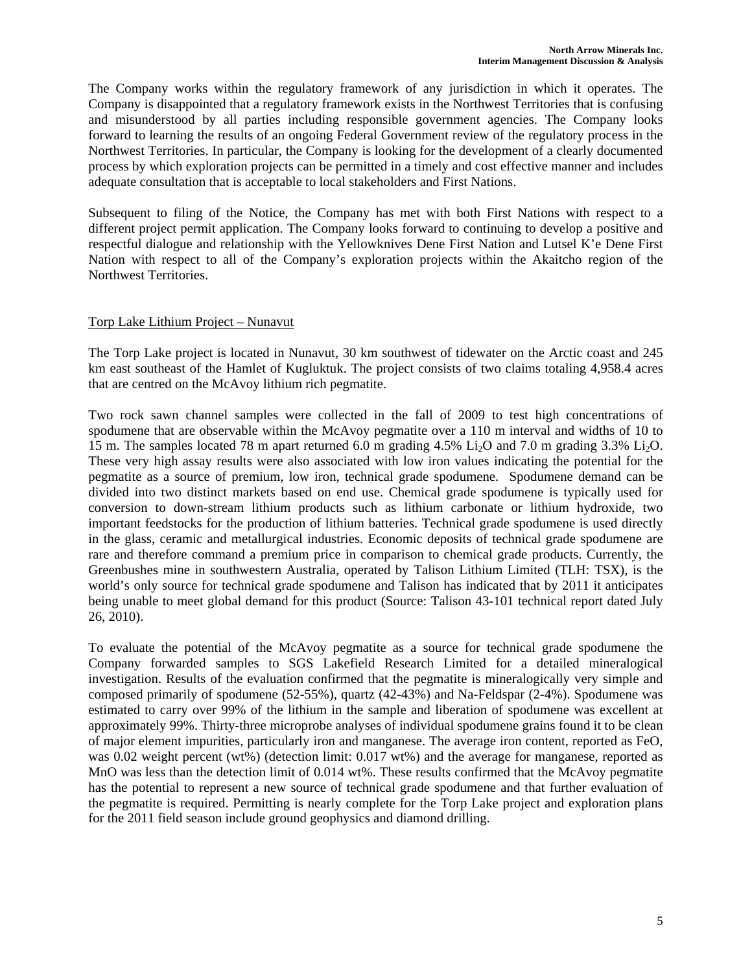The Company works within the regulatory framework of any jurisdiction in which it operates. The Company is disappointed that a regulatory framework exists in the Northwest Territories that is confusing and misunderstood by all parties including responsible government agencies. The Company looks forward to learning the results of an ongoing Federal Government review of the regulatory process in the Northwest Territories. In particular, the Company is looking for the development of a clearly documented process by which exploration projects can be permitted in a timely and cost effective manner and includes adequate consultation that is acceptable to local stakeholders and First Nations.

Subsequent to filing of the Notice, the Company has met with both First Nations with respect to a different project permit application. The Company looks forward to continuing to develop a positive and respectful dialogue and relationship with the Yellowknives Dene First Nation and Lutsel K'e Dene First Nation with respect to all of the Company's exploration projects within the Akaitcho region of the Northwest Territories.

# Torp Lake Lithium Project – Nunavut

The Torp Lake project is located in Nunavut, 30 km southwest of tidewater on the Arctic coast and 245 km east southeast of the Hamlet of Kugluktuk. The project consists of two claims totaling 4,958.4 acres that are centred on the McAvoy lithium rich pegmatite.

Two rock sawn channel samples were collected in the fall of 2009 to test high concentrations of spodumene that are observable within the McAvoy pegmatite over a 110 m interval and widths of 10 to 15 m. The samples located 78 m apart returned 6.0 m grading 4.5% Li<sub>2</sub>O and 7.0 m grading 3.3% Li<sub>2</sub>O. These very high assay results were also associated with low iron values indicating the potential for the pegmatite as a source of premium, low iron, technical grade spodumene. Spodumene demand can be divided into two distinct markets based on end use. Chemical grade spodumene is typically used for conversion to down-stream lithium products such as lithium carbonate or lithium hydroxide, two important feedstocks for the production of lithium batteries. Technical grade spodumene is used directly in the glass, ceramic and metallurgical industries. Economic deposits of technical grade spodumene are rare and therefore command a premium price in comparison to chemical grade products. Currently, the Greenbushes mine in southwestern Australia, operated by Talison Lithium Limited (TLH: TSX), is the world's only source for technical grade spodumene and Talison has indicated that by 2011 it anticipates being unable to meet global demand for this product (Source: Talison 43-101 technical report dated July 26, 2010).

To evaluate the potential of the McAvoy pegmatite as a source for technical grade spodumene the Company forwarded samples to SGS Lakefield Research Limited for a detailed mineralogical investigation. Results of the evaluation confirmed that the pegmatite is mineralogically very simple and composed primarily of spodumene (52-55%), quartz (42-43%) and Na-Feldspar (2-4%). Spodumene was estimated to carry over 99% of the lithium in the sample and liberation of spodumene was excellent at approximately 99%. Thirty-three microprobe analyses of individual spodumene grains found it to be clean of major element impurities, particularly iron and manganese. The average iron content, reported as FeO, was 0.02 weight percent (wt%) (detection limit: 0.017 wt%) and the average for manganese, reported as MnO was less than the detection limit of 0.014 wt%. These results confirmed that the McAvoy pegmatite has the potential to represent a new source of technical grade spodumene and that further evaluation of the pegmatite is required. Permitting is nearly complete for the Torp Lake project and exploration plans for the 2011 field season include ground geophysics and diamond drilling.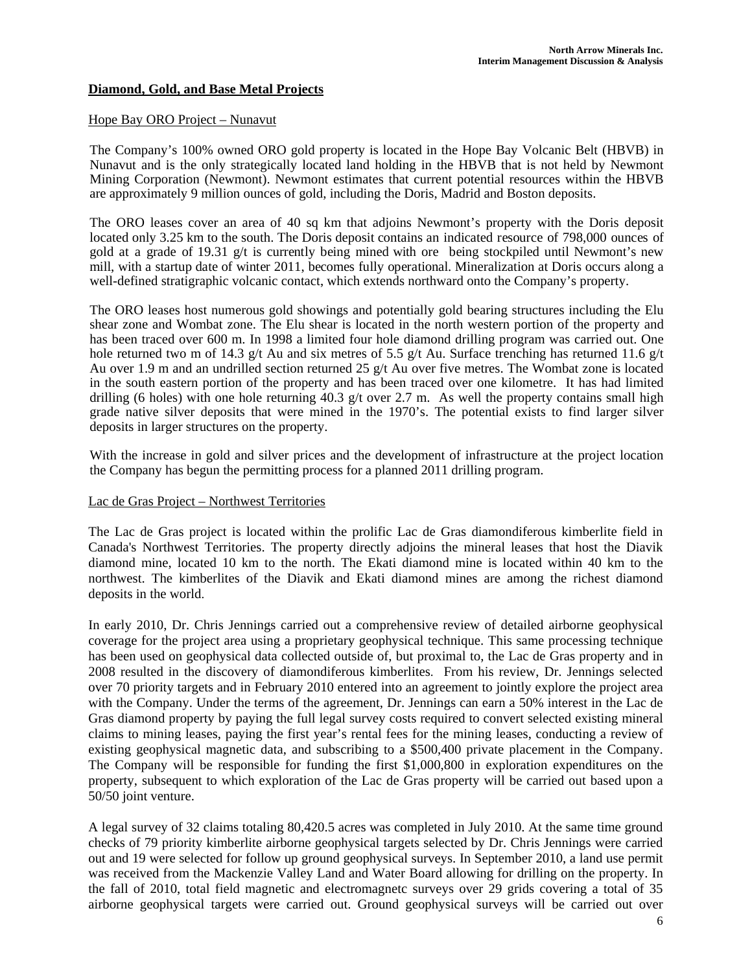# **Diamond, Gold, and Base Metal Projects**

#### Hope Bay ORO Project – Nunavut

The Company's 100% owned ORO gold property is located in the Hope Bay Volcanic Belt (HBVB) in Nunavut and is the only strategically located land holding in the HBVB that is not held by Newmont Mining Corporation (Newmont). Newmont estimates that current potential resources within the HBVB are approximately 9 million ounces of gold, including the Doris, Madrid and Boston deposits.

The ORO leases cover an area of 40 sq km that adjoins Newmont's property with the Doris deposit located only 3.25 km to the south. The Doris deposit contains an indicated resource of 798,000 ounces of gold at a grade of 19.31 g/t is currently being mined with ore being stockpiled until Newmont's new mill, with a startup date of winter 2011, becomes fully operational. Mineralization at Doris occurs along a well-defined stratigraphic volcanic contact, which extends northward onto the Company's property.

The ORO leases host numerous gold showings and potentially gold bearing structures including the Elu shear zone and Wombat zone. The Elu shear is located in the north western portion of the property and has been traced over 600 m. In 1998 a limited four hole diamond drilling program was carried out. One hole returned two m of 14.3 g/t Au and six metres of 5.5 g/t Au. Surface trenching has returned 11.6 g/t Au over 1.9 m and an undrilled section returned 25  $g/t$  Au over five metres. The Wombat zone is located in the south eastern portion of the property and has been traced over one kilometre. It has had limited drilling (6 holes) with one hole returning 40.3 g/t over 2.7 m. As well the property contains small high grade native silver deposits that were mined in the 1970's. The potential exists to find larger silver deposits in larger structures on the property.

With the increase in gold and silver prices and the development of infrastructure at the project location the Company has begun the permitting process for a planned 2011 drilling program.

#### Lac de Gras Project – Northwest Territories

The Lac de Gras project is located within the prolific Lac de Gras diamondiferous kimberlite field in Canada's Northwest Territories. The property directly adjoins the mineral leases that host the Diavik diamond mine, located 10 km to the north. The Ekati diamond mine is located within 40 km to the northwest. The kimberlites of the Diavik and Ekati diamond mines are among the richest diamond deposits in the world.

In early 2010, Dr. Chris Jennings carried out a comprehensive review of detailed airborne geophysical coverage for the project area using a proprietary geophysical technique. This same processing technique has been used on geophysical data collected outside of, but proximal to, the Lac de Gras property and in 2008 resulted in the discovery of diamondiferous kimberlites. From his review, Dr. Jennings selected over 70 priority targets and in February 2010 entered into an agreement to jointly explore the project area with the Company. Under the terms of the agreement, Dr. Jennings can earn a 50% interest in the Lac de Gras diamond property by paying the full legal survey costs required to convert selected existing mineral claims to mining leases, paying the first year's rental fees for the mining leases, conducting a review of existing geophysical magnetic data, and subscribing to a \$500,400 private placement in the Company. The Company will be responsible for funding the first \$1,000,800 in exploration expenditures on the property, subsequent to which exploration of the Lac de Gras property will be carried out based upon a 50/50 joint venture.

A legal survey of 32 claims totaling 80,420.5 acres was completed in July 2010. At the same time ground checks of 79 priority kimberlite airborne geophysical targets selected by Dr. Chris Jennings were carried out and 19 were selected for follow up ground geophysical surveys. In September 2010, a land use permit was received from the Mackenzie Valley Land and Water Board allowing for drilling on the property. In the fall of 2010, total field magnetic and electromagnetc surveys over 29 grids covering a total of 35 airborne geophysical targets were carried out. Ground geophysical surveys will be carried out over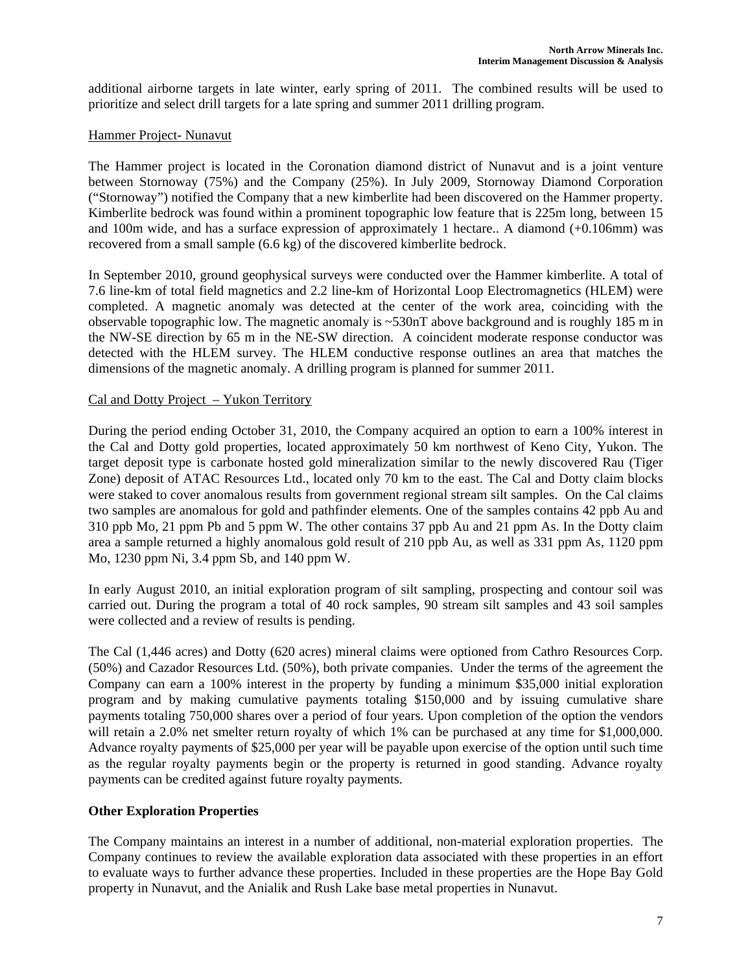additional airborne targets in late winter, early spring of 2011. The combined results will be used to prioritize and select drill targets for a late spring and summer 2011 drilling program.

# Hammer Project- Nunavut

The Hammer project is located in the Coronation diamond district of Nunavut and is a joint venture between Stornoway (75%) and the Company (25%). In July 2009, Stornoway Diamond Corporation ("Stornoway") notified the Company that a new kimberlite had been discovered on the Hammer property. Kimberlite bedrock was found within a prominent topographic low feature that is 225m long, between 15 and 100m wide, and has a surface expression of approximately 1 hectare.. A diamond (+0.106mm) was recovered from a small sample (6.6 kg) of the discovered kimberlite bedrock.

In September 2010, ground geophysical surveys were conducted over the Hammer kimberlite. A total of 7.6 line-km of total field magnetics and 2.2 line-km of Horizontal Loop Electromagnetics (HLEM) were completed. A magnetic anomaly was detected at the center of the work area, coinciding with the observable topographic low. The magnetic anomaly is  $\sim$ 530nT above background and is roughly 185 m in the NW-SE direction by 65 m in the NE-SW direction. A coincident moderate response conductor was detected with the HLEM survey. The HLEM conductive response outlines an area that matches the dimensions of the magnetic anomaly. A drilling program is planned for summer 2011.

# Cal and Dotty Project – Yukon Territory

During the period ending October 31, 2010, the Company acquired an option to earn a 100% interest in the Cal and Dotty gold properties, located approximately 50 km northwest of Keno City, Yukon. The target deposit type is carbonate hosted gold mineralization similar to the newly discovered Rau (Tiger Zone) deposit of ATAC Resources Ltd., located only 70 km to the east. The Cal and Dotty claim blocks were staked to cover anomalous results from government regional stream silt samples. On the Cal claims two samples are anomalous for gold and pathfinder elements. One of the samples contains 42 ppb Au and 310 ppb Mo, 21 ppm Pb and 5 ppm W. The other contains 37 ppb Au and 21 ppm As. In the Dotty claim area a sample returned a highly anomalous gold result of 210 ppb Au, as well as 331 ppm As, 1120 ppm Mo, 1230 ppm Ni, 3.4 ppm Sb, and 140 ppm W.

In early August 2010, an initial exploration program of silt sampling, prospecting and contour soil was carried out. During the program a total of 40 rock samples, 90 stream silt samples and 43 soil samples were collected and a review of results is pending.

The Cal (1,446 acres) and Dotty (620 acres) mineral claims were optioned from Cathro Resources Corp. (50%) and Cazador Resources Ltd. (50%), both private companies. Under the terms of the agreement the Company can earn a 100% interest in the property by funding a minimum \$35,000 initial exploration program and by making cumulative payments totaling \$150,000 and by issuing cumulative share payments totaling 750,000 shares over a period of four years. Upon completion of the option the vendors will retain a 2.0% net smelter return royalty of which 1% can be purchased at any time for \$1,000,000. Advance royalty payments of \$25,000 per year will be payable upon exercise of the option until such time as the regular royalty payments begin or the property is returned in good standing. Advance royalty payments can be credited against future royalty payments.

# **Other Exploration Properties**

The Company maintains an interest in a number of additional, non-material exploration properties. The Company continues to review the available exploration data associated with these properties in an effort to evaluate ways to further advance these properties. Included in these properties are the Hope Bay Gold property in Nunavut, and the Anialik and Rush Lake base metal properties in Nunavut.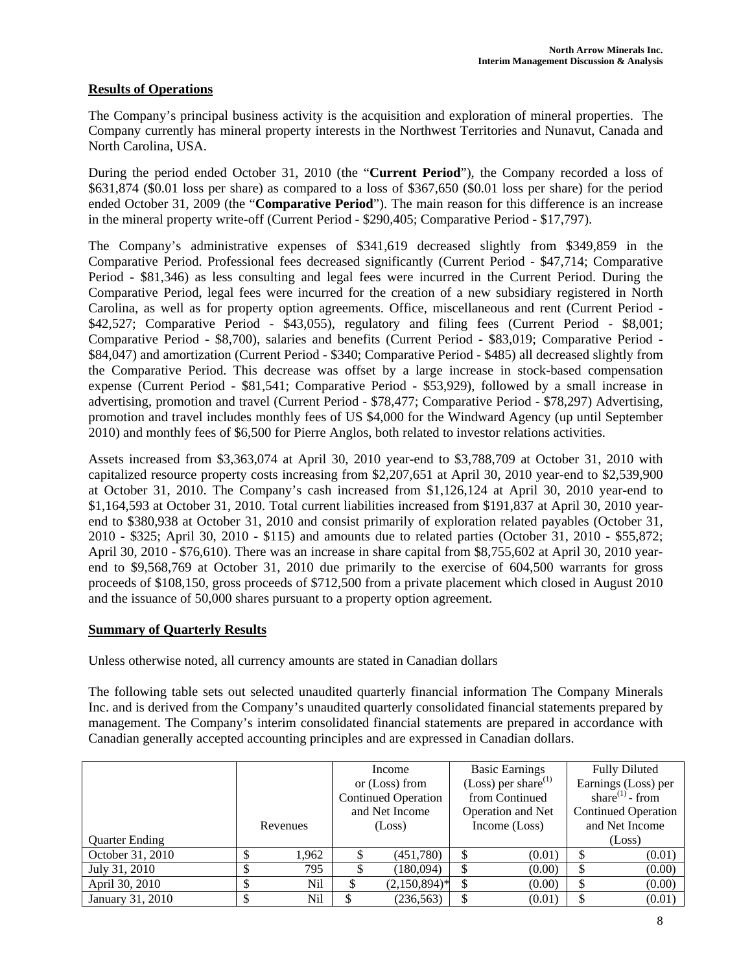# **Results of Operations**

The Company's principal business activity is the acquisition and exploration of mineral properties. The Company currently has mineral property interests in the Northwest Territories and Nunavut, Canada and North Carolina, USA.

During the period ended October 31, 2010 (the "**Current Period**"), the Company recorded a loss of \$631,874 (\$0.01 loss per share) as compared to a loss of \$367,650 (\$0.01 loss per share) for the period ended October 31, 2009 (the "**Comparative Period**"). The main reason for this difference is an increase in the mineral property write-off (Current Period - \$290,405; Comparative Period - \$17,797).

The Company's administrative expenses of \$341,619 decreased slightly from \$349,859 in the Comparative Period. Professional fees decreased significantly (Current Period - \$47,714; Comparative Period - \$81,346) as less consulting and legal fees were incurred in the Current Period. During the Comparative Period, legal fees were incurred for the creation of a new subsidiary registered in North Carolina, as well as for property option agreements. Office, miscellaneous and rent (Current Period - \$42,527; Comparative Period - \$43,055), regulatory and filing fees (Current Period - \$8,001; Comparative Period - \$8,700), salaries and benefits (Current Period - \$83,019; Comparative Period - \$84,047) and amortization (Current Period - \$340; Comparative Period - \$485) all decreased slightly from the Comparative Period. This decrease was offset by a large increase in stock-based compensation expense (Current Period - \$81,541; Comparative Period - \$53,929), followed by a small increase in advertising, promotion and travel (Current Period - \$78,477; Comparative Period - \$78,297) Advertising, promotion and travel includes monthly fees of US \$4,000 for the Windward Agency (up until September 2010) and monthly fees of \$6,500 for Pierre Anglos, both related to investor relations activities.

Assets increased from \$3,363,074 at April 30, 2010 year-end to \$3,788,709 at October 31, 2010 with capitalized resource property costs increasing from \$2,207,651 at April 30, 2010 year-end to \$2,539,900 at October 31, 2010. The Company's cash increased from \$1,126,124 at April 30, 2010 year-end to \$1,164,593 at October 31, 2010. Total current liabilities increased from \$191,837 at April 30, 2010 yearend to \$380,938 at October 31, 2010 and consist primarily of exploration related payables (October 31, 2010 - \$325; April 30, 2010 - \$115) and amounts due to related parties (October 31, 2010 - \$55,872; April 30, 2010 - \$76,610). There was an increase in share capital from \$8,755,602 at April 30, 2010 yearend to \$9,568,769 at October 31, 2010 due primarily to the exercise of 604,500 warrants for gross proceeds of \$108,150, gross proceeds of \$712,500 from a private placement which closed in August 2010 and the issuance of 50,000 shares pursuant to a property option agreement.

# **Summary of Quarterly Results**

Unless otherwise noted, all currency amounts are stated in Canadian dollars

The following table sets out selected unaudited quarterly financial information The Company Minerals Inc. and is derived from the Company's unaudited quarterly consolidated financial statements prepared by management. The Company's interim consolidated financial statements are prepared in accordance with Canadian generally accepted accounting principles and are expressed in Canadian dollars.

|                       |   |          | Income                     |                 | <b>Basic Earnings</b>           |        | <b>Fully Diluted</b>       |        |
|-----------------------|---|----------|----------------------------|-----------------|---------------------------------|--------|----------------------------|--------|
|                       |   |          | or (Loss) from             |                 | (Loss) per share <sup>(1)</sup> |        | Earnings (Loss) per        |        |
|                       |   |          | <b>Continued Operation</b> |                 | from Continued                  |        | share $^{(1)}$ - from      |        |
|                       |   |          | and Net Income             |                 | Operation and Net               |        | <b>Continued Operation</b> |        |
|                       |   | Revenues | (Loss)                     |                 | Income (Loss)                   |        | and Net Income             |        |
| <b>Quarter Ending</b> |   |          |                            |                 |                                 |        |                            | (Loss) |
| October 31, 2010      |   | 1,962    |                            | (451,780)       |                                 | (0.01) |                            | (0.01) |
| July 31, 2010         |   | 795      |                            | (180,094)       |                                 | (0.00) | \$                         | (0.00) |
| April 30, 2010        | S | Nil      |                            | $(2,150,894)^*$ |                                 | (0.00) | \$                         | (0.00) |
| January 31, 2010      |   | Nil      |                            | (236, 563)      |                                 | (0.01) |                            | (0.01) |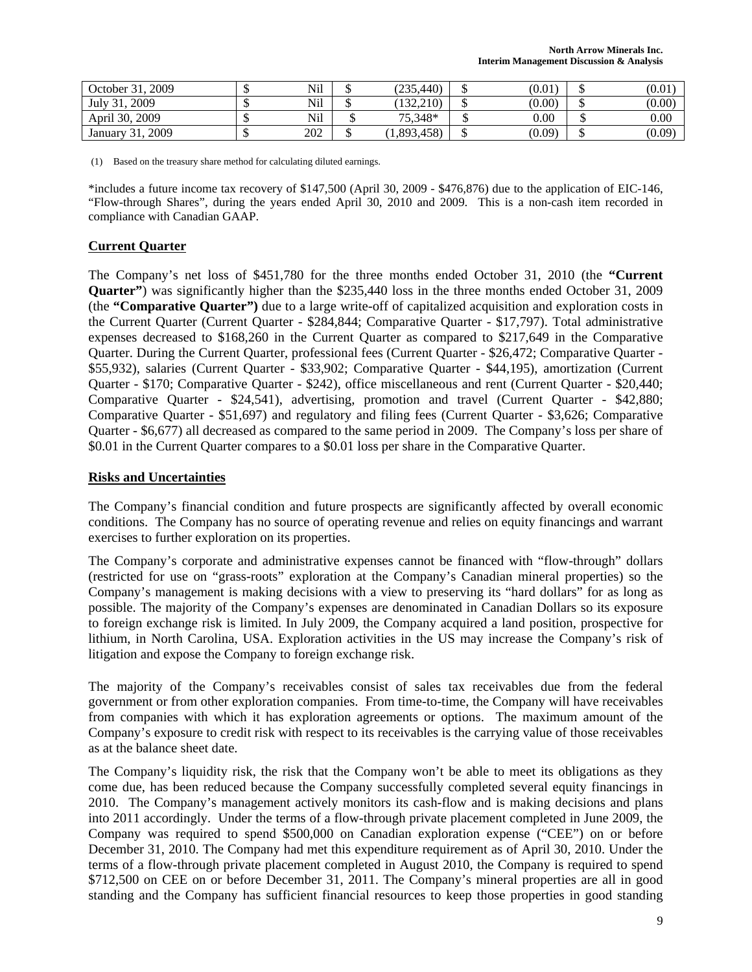| 2009<br>October 31,                    | τĐ  | Nil | (235, 440) | (0.01) | (0.01)   |
|----------------------------------------|-----|-----|------------|--------|----------|
| 2009<br>July $31$ ,                    | мD  | Nil | (132.210)  | (0.00) | (0.00)   |
| April 30, 2009                         | мD  | Nil | 75.348*    | 0.00   | $0.00\,$ |
| 2009<br>$-31.$<br>January <sup>-</sup> | ND. | 202 | 1,893,458) | (0.09) | (0.09)   |

(1) Based on the treasury share method for calculating diluted earnings.

\*includes a future income tax recovery of \$147,500 (April 30, 2009 - \$476,876) due to the application of EIC-146, "Flow-through Shares", during the years ended April 30, 2010 and 2009. This is a non-cash item recorded in compliance with Canadian GAAP.

## **Current Quarter**

The Company's net loss of \$451,780 for the three months ended October 31, 2010 (the **"Current Quarter"**) was significantly higher than the \$235,440 loss in the three months ended October 31, 2009 (the **"Comparative Quarter")** due to a large write-off of capitalized acquisition and exploration costs in the Current Quarter (Current Quarter - \$284,844; Comparative Quarter - \$17,797). Total administrative expenses decreased to \$168,260 in the Current Quarter as compared to \$217,649 in the Comparative Quarter. During the Current Quarter, professional fees (Current Quarter - \$26,472; Comparative Quarter - \$55,932), salaries (Current Quarter - \$33,902; Comparative Quarter - \$44,195), amortization (Current Quarter - \$170; Comparative Quarter - \$242), office miscellaneous and rent (Current Quarter - \$20,440; Comparative Quarter - \$24,541), advertising, promotion and travel (Current Quarter - \$42,880; Comparative Quarter - \$51,697) and regulatory and filing fees (Current Quarter - \$3,626; Comparative Quarter - \$6,677) all decreased as compared to the same period in 2009. The Company's loss per share of \$0.01 in the Current Quarter compares to a \$0.01 loss per share in the Comparative Quarter.

### **Risks and Uncertainties**

The Company's financial condition and future prospects are significantly affected by overall economic conditions. The Company has no source of operating revenue and relies on equity financings and warrant exercises to further exploration on its properties.

The Company's corporate and administrative expenses cannot be financed with "flow-through" dollars (restricted for use on "grass-roots" exploration at the Company's Canadian mineral properties) so the Company's management is making decisions with a view to preserving its "hard dollars" for as long as possible. The majority of the Company's expenses are denominated in Canadian Dollars so its exposure to foreign exchange risk is limited. In July 2009, the Company acquired a land position, prospective for lithium, in North Carolina, USA. Exploration activities in the US may increase the Company's risk of litigation and expose the Company to foreign exchange risk.

The majority of the Company's receivables consist of sales tax receivables due from the federal government or from other exploration companies. From time-to-time, the Company will have receivables from companies with which it has exploration agreements or options. The maximum amount of the Company's exposure to credit risk with respect to its receivables is the carrying value of those receivables as at the balance sheet date.

The Company's liquidity risk, the risk that the Company won't be able to meet its obligations as they come due, has been reduced because the Company successfully completed several equity financings in 2010. The Company's management actively monitors its cash-flow and is making decisions and plans into 2011 accordingly. Under the terms of a flow-through private placement completed in June 2009, the Company was required to spend \$500,000 on Canadian exploration expense ("CEE") on or before December 31, 2010. The Company had met this expenditure requirement as of April 30, 2010. Under the terms of a flow-through private placement completed in August 2010, the Company is required to spend \$712,500 on CEE on or before December 31, 2011. The Company's mineral properties are all in good standing and the Company has sufficient financial resources to keep those properties in good standing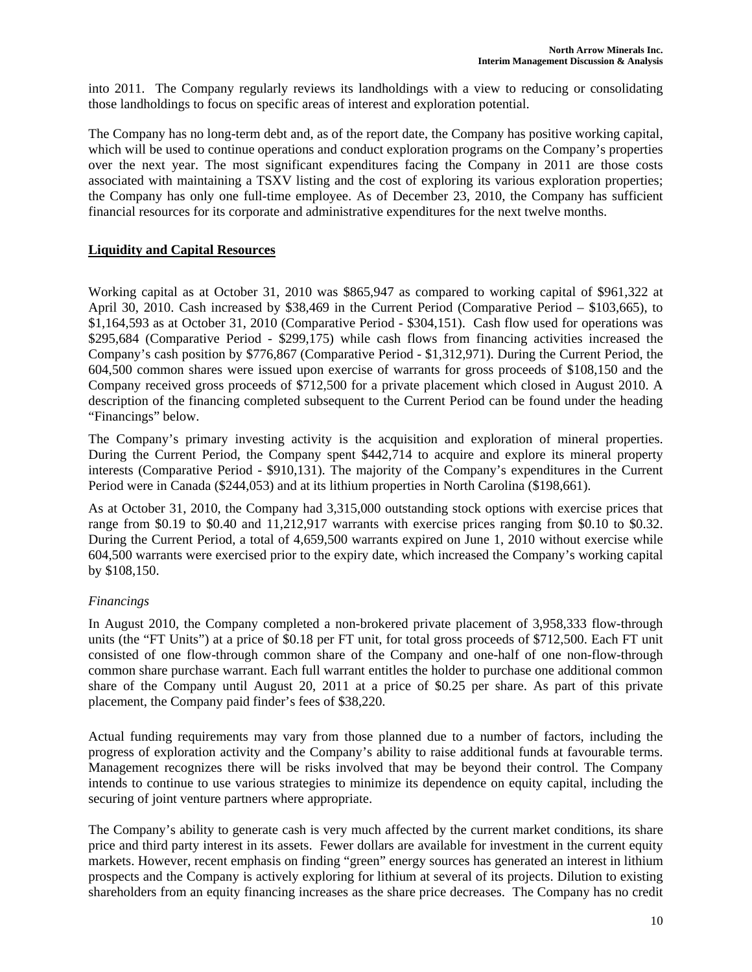into 2011. The Company regularly reviews its landholdings with a view to reducing or consolidating those landholdings to focus on specific areas of interest and exploration potential.

The Company has no long-term debt and, as of the report date, the Company has positive working capital, which will be used to continue operations and conduct exploration programs on the Company's properties over the next year. The most significant expenditures facing the Company in 2011 are those costs associated with maintaining a TSXV listing and the cost of exploring its various exploration properties; the Company has only one full-time employee. As of December 23, 2010, the Company has sufficient financial resources for its corporate and administrative expenditures for the next twelve months.

# **Liquidity and Capital Resources**

Working capital as at October 31, 2010 was \$865,947 as compared to working capital of \$961,322 at April 30, 2010. Cash increased by \$38,469 in the Current Period (Comparative Period – \$103,665), to \$1,164,593 as at October 31, 2010 (Comparative Period - \$304,151). Cash flow used for operations was \$295,684 (Comparative Period - \$299,175) while cash flows from financing activities increased the Company's cash position by \$776,867 (Comparative Period - \$1,312,971). During the Current Period, the 604,500 common shares were issued upon exercise of warrants for gross proceeds of \$108,150 and the Company received gross proceeds of \$712,500 for a private placement which closed in August 2010. A description of the financing completed subsequent to the Current Period can be found under the heading "Financings" below.

The Company's primary investing activity is the acquisition and exploration of mineral properties. During the Current Period, the Company spent \$442,714 to acquire and explore its mineral property interests (Comparative Period - \$910,131). The majority of the Company's expenditures in the Current Period were in Canada (\$244,053) and at its lithium properties in North Carolina (\$198,661).

As at October 31, 2010, the Company had 3,315,000 outstanding stock options with exercise prices that range from \$0.19 to \$0.40 and 11,212,917 warrants with exercise prices ranging from \$0.10 to \$0.32. During the Current Period, a total of 4,659,500 warrants expired on June 1, 2010 without exercise while 604,500 warrants were exercised prior to the expiry date, which increased the Company's working capital by \$108,150.

# *Financings*

In August 2010, the Company completed a non-brokered private placement of 3,958,333 flow-through units (the "FT Units") at a price of \$0.18 per FT unit, for total gross proceeds of \$712,500. Each FT unit consisted of one flow-through common share of the Company and one-half of one non-flow-through common share purchase warrant. Each full warrant entitles the holder to purchase one additional common share of the Company until August 20, 2011 at a price of \$0.25 per share. As part of this private placement, the Company paid finder's fees of \$38,220.

Actual funding requirements may vary from those planned due to a number of factors, including the progress of exploration activity and the Company's ability to raise additional funds at favourable terms. Management recognizes there will be risks involved that may be beyond their control. The Company intends to continue to use various strategies to minimize its dependence on equity capital, including the securing of joint venture partners where appropriate.

The Company's ability to generate cash is very much affected by the current market conditions, its share price and third party interest in its assets. Fewer dollars are available for investment in the current equity markets. However, recent emphasis on finding "green" energy sources has generated an interest in lithium prospects and the Company is actively exploring for lithium at several of its projects. Dilution to existing shareholders from an equity financing increases as the share price decreases. The Company has no credit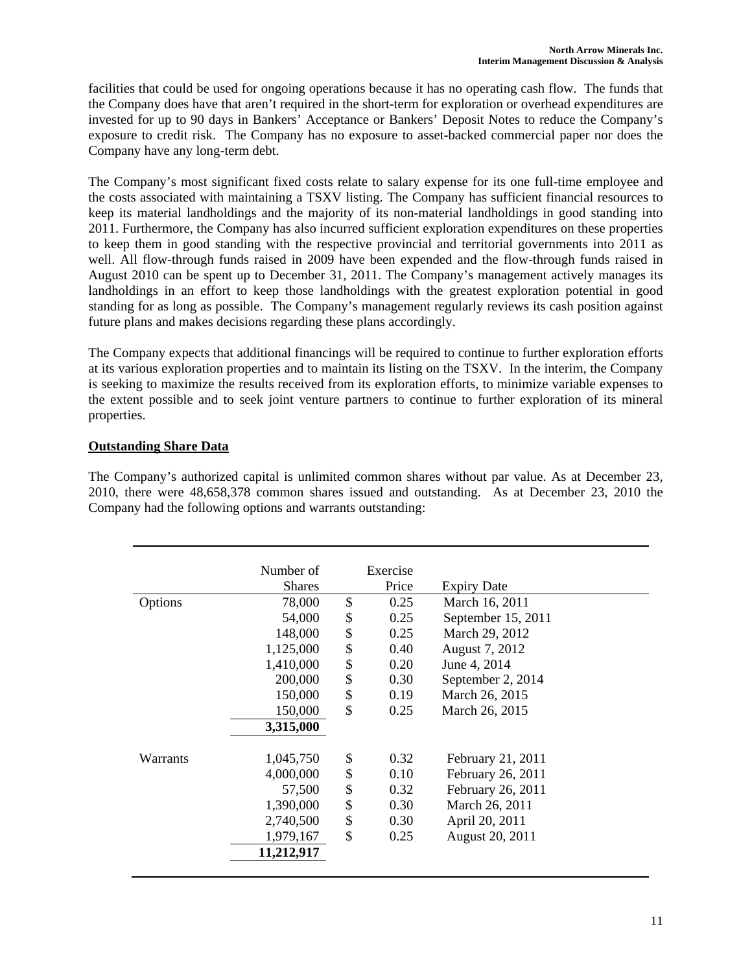facilities that could be used for ongoing operations because it has no operating cash flow. The funds that the Company does have that aren't required in the short-term for exploration or overhead expenditures are invested for up to 90 days in Bankers' Acceptance or Bankers' Deposit Notes to reduce the Company's exposure to credit risk. The Company has no exposure to asset-backed commercial paper nor does the Company have any long-term debt.

The Company's most significant fixed costs relate to salary expense for its one full-time employee and the costs associated with maintaining a TSXV listing. The Company has sufficient financial resources to keep its material landholdings and the majority of its non-material landholdings in good standing into 2011. Furthermore, the Company has also incurred sufficient exploration expenditures on these properties to keep them in good standing with the respective provincial and territorial governments into 2011 as well. All flow-through funds raised in 2009 have been expended and the flow-through funds raised in August 2010 can be spent up to December 31, 2011. The Company's management actively manages its landholdings in an effort to keep those landholdings with the greatest exploration potential in good standing for as long as possible. The Company's management regularly reviews its cash position against future plans and makes decisions regarding these plans accordingly.

The Company expects that additional financings will be required to continue to further exploration efforts at its various exploration properties and to maintain its listing on the TSXV. In the interim, the Company is seeking to maximize the results received from its exploration efforts, to minimize variable expenses to the extent possible and to seek joint venture partners to continue to further exploration of its mineral properties.

# **Outstanding Share Data**

The Company's authorized capital is unlimited common shares without par value. As at December 23, 2010, there were 48,658,378 common shares issued and outstanding. As at December 23, 2010 the Company had the following options and warrants outstanding:

|          | Number of     | Exercise   |                    |  |
|----------|---------------|------------|--------------------|--|
|          | <b>Shares</b> | Price      | <b>Expiry Date</b> |  |
| Options  | 78,000        | \$<br>0.25 | March 16, 2011     |  |
|          | 54,000        | \$<br>0.25 | September 15, 2011 |  |
|          | 148,000       | \$<br>0.25 | March 29, 2012     |  |
|          | 1,125,000     | \$<br>0.40 | August 7, 2012     |  |
|          | 1,410,000     | \$<br>0.20 | June 4, 2014       |  |
|          | 200,000       | \$<br>0.30 | September 2, 2014  |  |
|          | 150,000       | \$<br>0.19 | March 26, 2015     |  |
|          | 150,000       | \$<br>0.25 | March 26, 2015     |  |
|          | 3,315,000     |            |                    |  |
|          |               |            |                    |  |
| Warrants | 1,045,750     | \$<br>0.32 | February 21, 2011  |  |
|          | 4,000,000     | \$<br>0.10 | February 26, 2011  |  |
|          | 57,500        | \$<br>0.32 | February 26, 2011  |  |
|          | 1,390,000     | \$<br>0.30 | March 26, 2011     |  |
|          | 2,740,500     | \$<br>0.30 | April 20, 2011     |  |
|          | 1,979,167     | \$<br>0.25 | August 20, 2011    |  |
|          | 11,212,917    |            |                    |  |
|          |               |            |                    |  |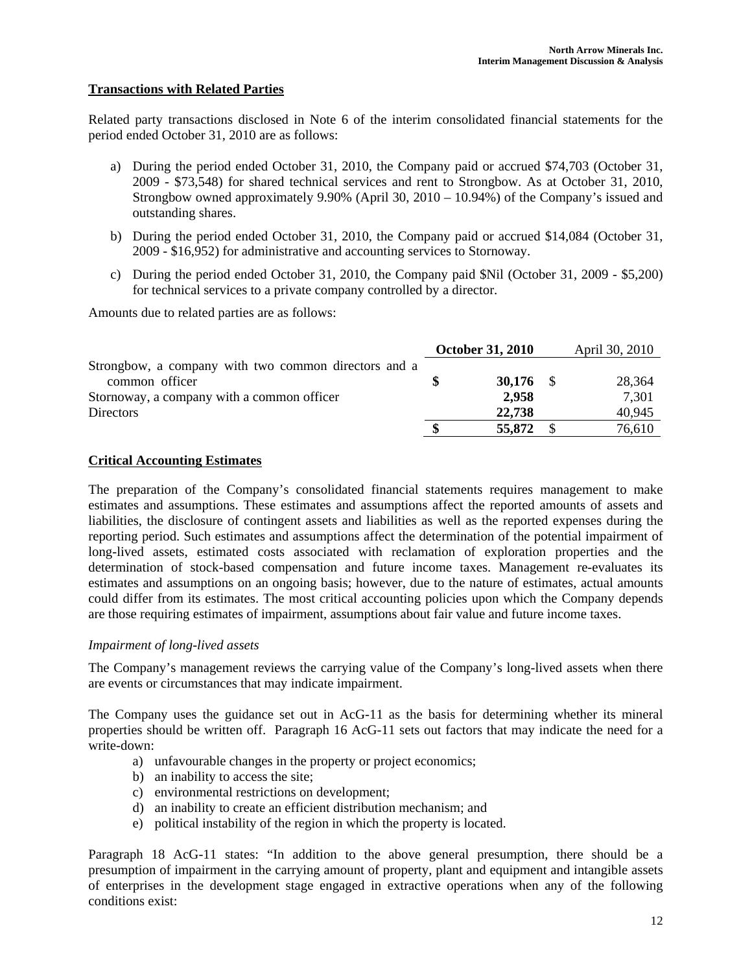# **Transactions with Related Parties**

Related party transactions disclosed in Note 6 of the interim consolidated financial statements for the period ended October 31, 2010 are as follows:

- a) During the period ended October 31, 2010, the Company paid or accrued \$74,703 (October 31, 2009 - \$73,548) for shared technical services and rent to Strongbow. As at October 31, 2010, Strongbow owned approximately 9.90% (April 30, 2010 – 10.94%) of the Company's issued and outstanding shares.
- b) During the period ended October 31, 2010, the Company paid or accrued \$14,084 (October 31, 2009 - \$16,952) for administrative and accounting services to Stornoway.
- c) During the period ended October 31, 2010, the Company paid \$Nil (October 31, 2009 \$5,200) for technical services to a private company controlled by a director.

Amounts due to related parties are as follows:

|                                                      | <b>October 31, 2010</b> | April 30, 2010 |
|------------------------------------------------------|-------------------------|----------------|
| Strongbow, a company with two common directors and a |                         |                |
| common officer                                       | 30,176 $\frac{1}{2}$    | 28,364         |
| Stornoway, a company with a common officer           | 2,958                   | 7,301          |
| <b>Directors</b>                                     | 22,738                  | 40,945         |
|                                                      | 55,872                  | 76,610         |

### **Critical Accounting Estimates**

The preparation of the Company's consolidated financial statements requires management to make estimates and assumptions. These estimates and assumptions affect the reported amounts of assets and liabilities, the disclosure of contingent assets and liabilities as well as the reported expenses during the reporting period. Such estimates and assumptions affect the determination of the potential impairment of long-lived assets, estimated costs associated with reclamation of exploration properties and the determination of stock-based compensation and future income taxes. Management re-evaluates its estimates and assumptions on an ongoing basis; however, due to the nature of estimates, actual amounts could differ from its estimates. The most critical accounting policies upon which the Company depends are those requiring estimates of impairment, assumptions about fair value and future income taxes.

### *Impairment of long-lived assets*

The Company's management reviews the carrying value of the Company's long-lived assets when there are events or circumstances that may indicate impairment.

The Company uses the guidance set out in AcG-11 as the basis for determining whether its mineral properties should be written off. Paragraph 16 AcG-11 sets out factors that may indicate the need for a write-down:

- a) unfavourable changes in the property or project economics;
- b) an inability to access the site;
- c) environmental restrictions on development;
- d) an inability to create an efficient distribution mechanism; and
- e) political instability of the region in which the property is located.

Paragraph 18 AcG-11 states: "In addition to the above general presumption, there should be a presumption of impairment in the carrying amount of property, plant and equipment and intangible assets of enterprises in the development stage engaged in extractive operations when any of the following conditions exist: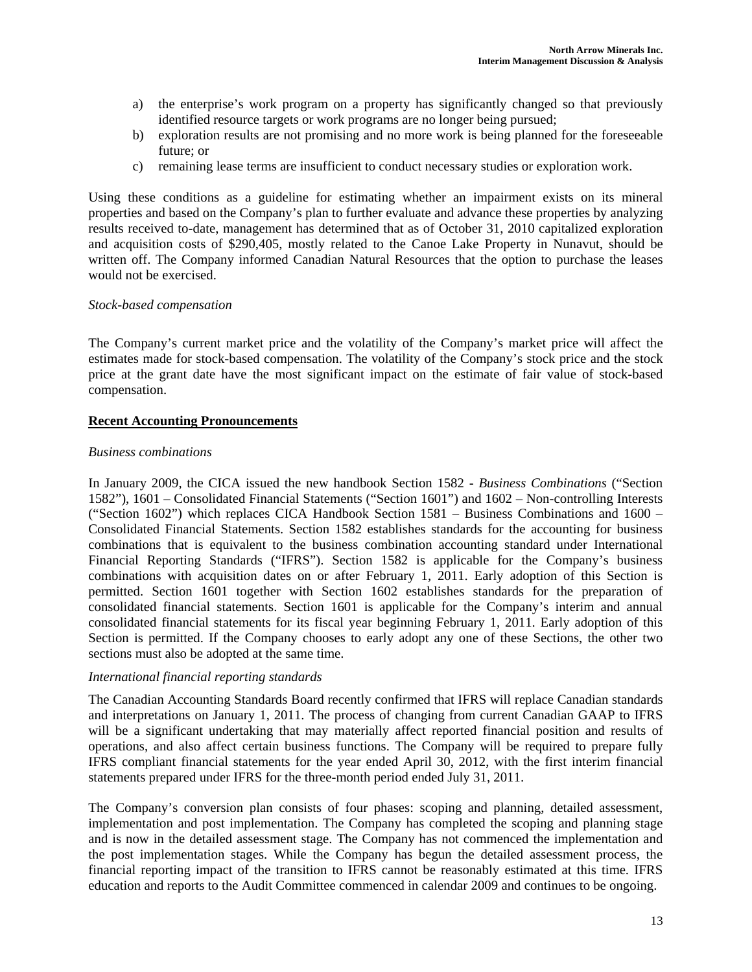- a) the enterprise's work program on a property has significantly changed so that previously identified resource targets or work programs are no longer being pursued;
- b) exploration results are not promising and no more work is being planned for the foreseeable future; or
- c) remaining lease terms are insufficient to conduct necessary studies or exploration work.

Using these conditions as a guideline for estimating whether an impairment exists on its mineral properties and based on the Company's plan to further evaluate and advance these properties by analyzing results received to-date, management has determined that as of October 31, 2010 capitalized exploration and acquisition costs of \$290,405, mostly related to the Canoe Lake Property in Nunavut, should be written off. The Company informed Canadian Natural Resources that the option to purchase the leases would not be exercised.

### *Stock-based compensation*

The Company's current market price and the volatility of the Company's market price will affect the estimates made for stock-based compensation. The volatility of the Company's stock price and the stock price at the grant date have the most significant impact on the estimate of fair value of stock-based compensation.

### **Recent Accounting Pronouncements**

#### *Business combinations*

In January 2009, the CICA issued the new handbook Section 1582 - *Business Combinations* ("Section 1582"), 1601 – Consolidated Financial Statements ("Section 1601") and 1602 – Non-controlling Interests ("Section 1602") which replaces CICA Handbook Section 1581 – Business Combinations and 1600 – Consolidated Financial Statements. Section 1582 establishes standards for the accounting for business combinations that is equivalent to the business combination accounting standard under International Financial Reporting Standards ("IFRS"). Section 1582 is applicable for the Company's business combinations with acquisition dates on or after February 1, 2011. Early adoption of this Section is permitted. Section 1601 together with Section 1602 establishes standards for the preparation of consolidated financial statements. Section 1601 is applicable for the Company's interim and annual consolidated financial statements for its fiscal year beginning February 1, 2011. Early adoption of this Section is permitted. If the Company chooses to early adopt any one of these Sections, the other two sections must also be adopted at the same time.

#### *International financial reporting standards*

The Canadian Accounting Standards Board recently confirmed that IFRS will replace Canadian standards and interpretations on January 1, 2011. The process of changing from current Canadian GAAP to IFRS will be a significant undertaking that may materially affect reported financial position and results of operations, and also affect certain business functions. The Company will be required to prepare fully IFRS compliant financial statements for the year ended April 30, 2012, with the first interim financial statements prepared under IFRS for the three-month period ended July 31, 2011.

The Company's conversion plan consists of four phases: scoping and planning, detailed assessment, implementation and post implementation. The Company has completed the scoping and planning stage and is now in the detailed assessment stage. The Company has not commenced the implementation and the post implementation stages. While the Company has begun the detailed assessment process, the financial reporting impact of the transition to IFRS cannot be reasonably estimated at this time. IFRS education and reports to the Audit Committee commenced in calendar 2009 and continues to be ongoing.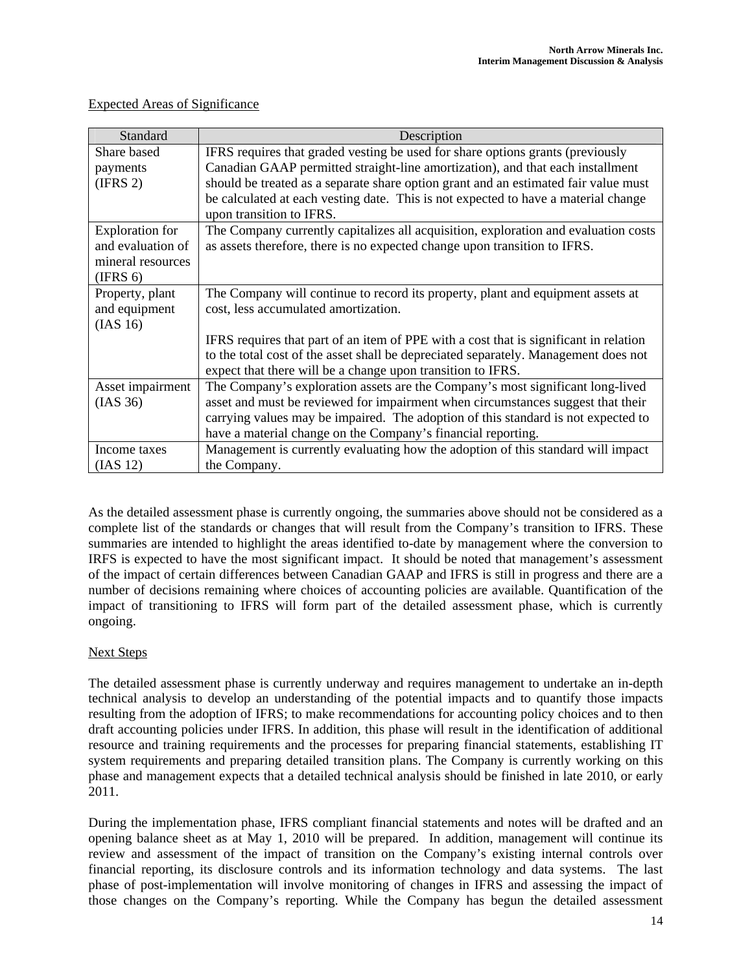| Standard               | Description                                                                                                    |
|------------------------|----------------------------------------------------------------------------------------------------------------|
| Share based            | IFRS requires that graded vesting be used for share options grants (previously                                 |
| payments               | Canadian GAAP permitted straight-line amortization), and that each installment                                 |
| (IFRS 2)               | should be treated as a separate share option grant and an estimated fair value must                            |
|                        | be calculated at each vesting date. This is not expected to have a material change<br>upon transition to IFRS. |
| <b>Exploration</b> for | The Company currently capitalizes all acquisition, exploration and evaluation costs                            |
| and evaluation of      | as assets therefore, there is no expected change upon transition to IFRS.                                      |
| mineral resources      |                                                                                                                |
| (IFRS 6)               |                                                                                                                |
| Property, plant        | The Company will continue to record its property, plant and equipment assets at                                |
| and equipment          | cost, less accumulated amortization.                                                                           |
| (IAS 16)               |                                                                                                                |
|                        | IFRS requires that part of an item of PPE with a cost that is significant in relation                          |
|                        | to the total cost of the asset shall be depreciated separately. Management does not                            |
|                        | expect that there will be a change upon transition to IFRS.                                                    |
| Asset impairment       | The Company's exploration assets are the Company's most significant long-lived                                 |
| (IAS 36)               | asset and must be reviewed for impairment when circumstances suggest that their                                |
|                        | carrying values may be impaired. The adoption of this standard is not expected to                              |
|                        | have a material change on the Company's financial reporting.                                                   |
| Income taxes           | Management is currently evaluating how the adoption of this standard will impact                               |
| (IAS 12)               | the Company.                                                                                                   |

# Expected Areas of Significance

As the detailed assessment phase is currently ongoing, the summaries above should not be considered as a complete list of the standards or changes that will result from the Company's transition to IFRS. These summaries are intended to highlight the areas identified to-date by management where the conversion to IRFS is expected to have the most significant impact. It should be noted that management's assessment of the impact of certain differences between Canadian GAAP and IFRS is still in progress and there are a number of decisions remaining where choices of accounting policies are available. Quantification of the impact of transitioning to IFRS will form part of the detailed assessment phase, which is currently ongoing.

### Next Steps

The detailed assessment phase is currently underway and requires management to undertake an in-depth technical analysis to develop an understanding of the potential impacts and to quantify those impacts resulting from the adoption of IFRS; to make recommendations for accounting policy choices and to then draft accounting policies under IFRS. In addition, this phase will result in the identification of additional resource and training requirements and the processes for preparing financial statements, establishing IT system requirements and preparing detailed transition plans. The Company is currently working on this phase and management expects that a detailed technical analysis should be finished in late 2010, or early 2011.

During the implementation phase, IFRS compliant financial statements and notes will be drafted and an opening balance sheet as at May 1, 2010 will be prepared. In addition, management will continue its review and assessment of the impact of transition on the Company's existing internal controls over financial reporting, its disclosure controls and its information technology and data systems. The last phase of post-implementation will involve monitoring of changes in IFRS and assessing the impact of those changes on the Company's reporting. While the Company has begun the detailed assessment